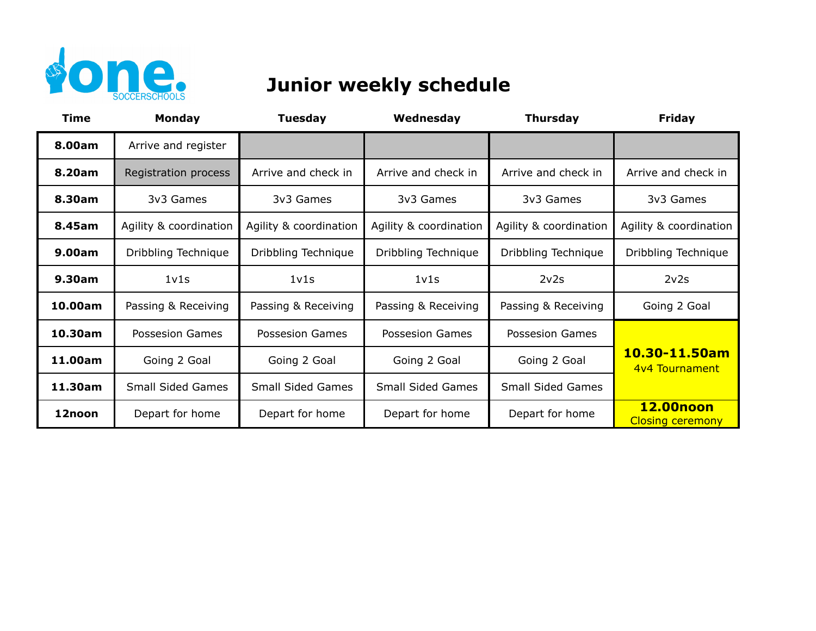

## **Junior weekly schedule**

| Time    | <b>Monday</b>                 | <b>Tuesday</b>                | Wednesday                     | <b>Thursday</b>          | <b>Friday</b>                               |
|---------|-------------------------------|-------------------------------|-------------------------------|--------------------------|---------------------------------------------|
| 8.00am  | Arrive and register           |                               |                               |                          |                                             |
| 8.20am  | Registration process          | Arrive and check in           | Arrive and check in           | Arrive and check in      | Arrive and check in                         |
| 8.30am  | 3v3 Games                     | 3v3 Games                     | 3v3 Games                     | 3v3 Games                | 3v3 Games                                   |
| 8.45am  | Agility & coordination        | Agility & coordination        | Agility & coordination        | Agility & coordination   | Agility & coordination                      |
| 9.00am  | Dribbling Technique           | Dribbling Technique           | Dribbling Technique           | Dribbling Technique      | Dribbling Technique                         |
| 9.30am  | 1 <sub>v</sub> 1 <sub>s</sub> | 1 <sub>v</sub> 1 <sub>s</sub> | 1 <sub>v</sub> 1 <sub>s</sub> | 2v2s                     | 2v2s                                        |
| 10.00am | Passing & Receiving           | Passing & Receiving           | Passing & Receiving           | Passing & Receiving      | Going 2 Goal                                |
| 10.30am | <b>Possesion Games</b>        | Possesion Games               | <b>Possesion Games</b>        | Possesion Games          |                                             |
| 11.00am | Going 2 Goal                  | Going 2 Goal                  | Going 2 Goal                  | Going 2 Goal             | 10.30-11.50am<br>4v4 Tournament             |
| 11.30am | <b>Small Sided Games</b>      | <b>Small Sided Games</b>      | <b>Small Sided Games</b>      | <b>Small Sided Games</b> |                                             |
| 12noon  | Depart for home               | Depart for home               | Depart for home               | Depart for home          | <b>12.00noon</b><br><b>Closing ceremony</b> |